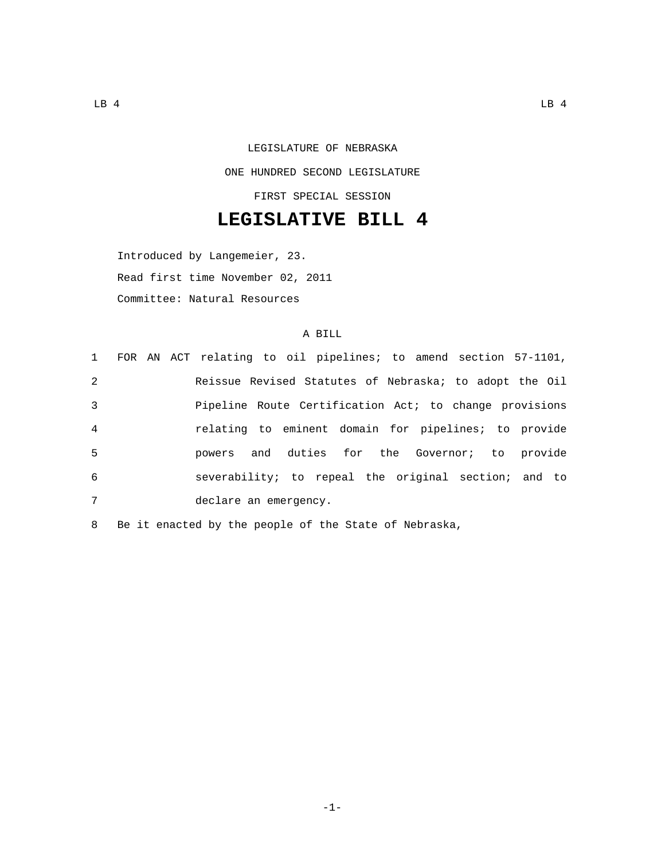## LEGISLATURE OF NEBRASKA ONE HUNDRED SECOND LEGISLATURE FIRST SPECIAL SESSION

## **LEGISLATIVE BILL 4**

Introduced by Langemeier, 23. Read first time November 02, 2011 Committee: Natural Resources

## A BILL

|                |  | 1 FOR AN ACT relating to oil pipelines; to amend section 57-1101, |  |  |  |  |  |
|----------------|--|-------------------------------------------------------------------|--|--|--|--|--|
| 2              |  | Reissue Revised Statutes of Nebraska; to adopt the Oil            |  |  |  |  |  |
| 3              |  | Pipeline Route Certification Act; to change provisions            |  |  |  |  |  |
| $\overline{4}$ |  | relating to eminent domain for pipelines; to provide              |  |  |  |  |  |
| -5             |  | powers and duties for the Governor; to provide                    |  |  |  |  |  |
| 6              |  | severability; to repeal the original section; and to              |  |  |  |  |  |
| 7              |  | declare an emergency.                                             |  |  |  |  |  |
|                |  |                                                                   |  |  |  |  |  |

8 Be it enacted by the people of the State of Nebraska,

-1-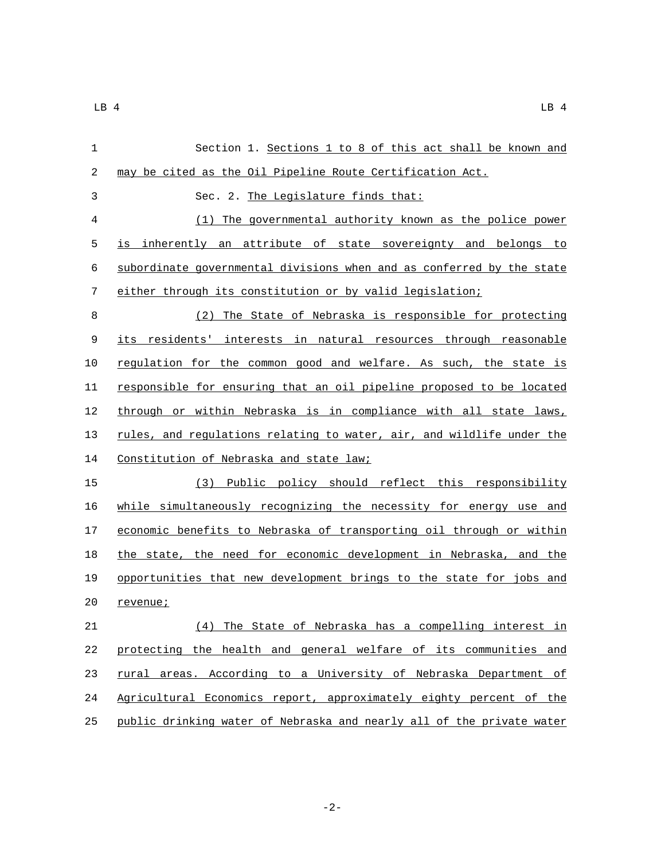| 1  | Section 1. Sections 1 to 8 of this act shall be known and             |
|----|-----------------------------------------------------------------------|
| 2  | may be cited as the Oil Pipeline Route Certification Act.             |
| 3  | Sec. 2. The Legislature finds that:                                   |
| 4  | The governmental authority known as the police power<br>(1)           |
| 5  | inherently an attribute of state sovereignty and belongs to<br>is     |
| 6  | subordinate governmental divisions when and as conferred by the state |
| 7  | either through its constitution or by valid legislation;              |
| 8  | The State of Nebraska is responsible for protecting<br>(2)            |
| 9  | its residents' interests in natural resources through reasonable      |
| 10 | regulation for the common good and welfare. As such, the state is     |
| 11 | responsible for ensuring that an oil pipeline proposed to be located  |
| 12 | through or within Nebraska is in compliance with all state laws,      |
| 13 | rules, and regulations relating to water, air, and wildlife under the |
| 14 | Constitution of Nebraska and state law;                               |
| 15 | Public policy should reflect this responsibility<br>(3)               |
| 16 | while simultaneously recognizing the necessity for energy use and     |
| 17 | economic benefits to Nebraska of transporting oil through or within   |
| 18 | the state, the need for economic development in Nebraska, and the     |
| 19 | opportunities that new development brings to the state for jobs and   |
| 20 | revenue;                                                              |
| 21 | (4) The State of Nebraska has a compelling interest in                |
| 22 | protecting the health and general welfare of its communities and      |
| 23 | rural areas. According to a University of Nebraska Department of      |
| 24 | Agricultural Economics report, approximately eighty percent of the    |
| 25 | public drinking water of Nebraska and nearly all of the private water |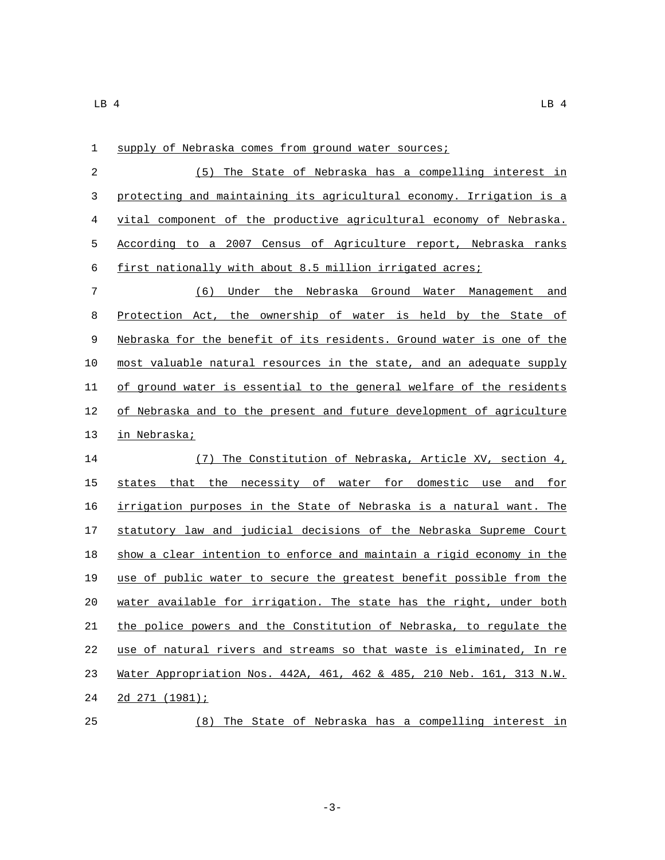| $\mathbf 1$ | supply of Nebraska comes from ground water sources;                   |
|-------------|-----------------------------------------------------------------------|
| 2           | (5) The State of Nebraska has a compelling interest in                |
| 3           | protecting and maintaining its agricultural economy. Irrigation is a  |
| 4           | vital component of the productive agricultural economy of Nebraska.   |
| 5           | According to a 2007 Census of Agriculture report, Nebraska ranks      |
| 6           | first nationally with about 8.5 million irrigated acres;              |
| 7           | (6) Under the Nebraska Ground Water Management and                    |
| 8           | Protection Act, the ownership of water is held by the State of        |
| 9           | Nebraska for the benefit of its residents. Ground water is one of the |
| 10          | most valuable natural resources in the state, and an adequate supply  |
| 11          | of ground water is essential to the general welfare of the residents  |
| 12          | of Nebraska and to the present and future development of agriculture  |
| 13          | in Nebraska;                                                          |
| 14          | (7) The Constitution of Nebraska, Article XV, section 4,              |
| 15          | states that the necessity of water for domestic use and for           |
| 16          | irrigation purposes in the State of Nebraska is a natural want. The   |
| 17          | statutory law and judicial decisions of the Nebraska Supreme Court    |
| 18          | show a clear intention to enforce and maintain a rigid economy in the |
| 19          | use of public water to secure the greatest benefit possible from the  |
| 20          | water available for irrigation. The state has the right, under both   |
| 21          | the police powers and the Constitution of Nebraska, to regulate the   |
| 22          | use of natural rivers and streams so that waste is eliminated, In re  |

 Water Appropriation Nos. 442A, 461, 462 & 485, 210 Neb. 161, 313 N.W. 24 2d 271 (1981);

(8) The State of Nebraska has a compelling interest in

-3-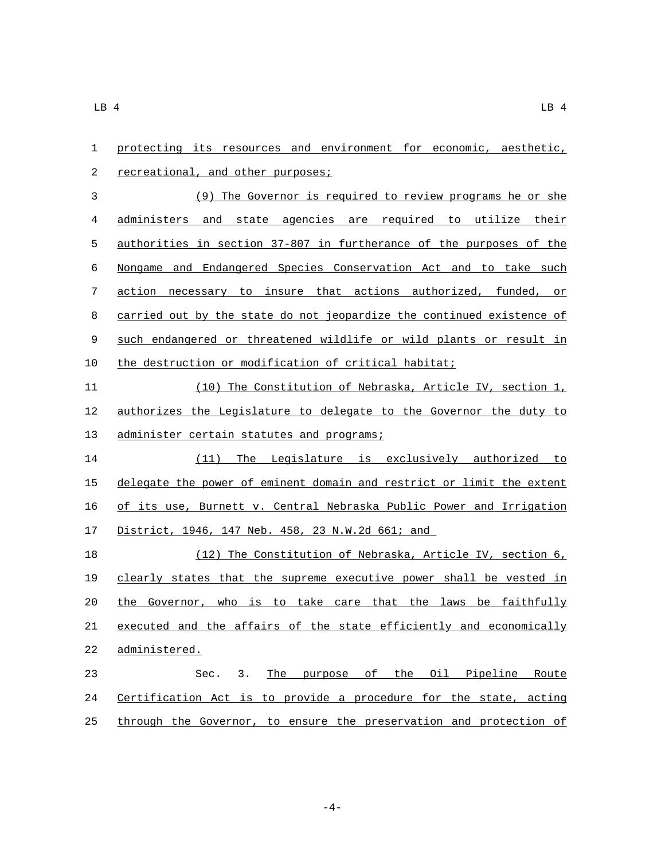| 1              | protecting its resources and environment for economic, aesthetic,     |
|----------------|-----------------------------------------------------------------------|
| 2              | recreational, and other purposes;                                     |
| $\mathfrak{Z}$ | (9) The Governor is required to review programs he or she             |
| 4              | administers and state agencies are required to utilize their          |
| 5              | authorities in section 37-807 in furtherance of the purposes of the   |
| 6              | Nongame and Endangered Species Conservation Act and to take such      |
| 7              | action necessary to insure that actions authorized, funded, or        |
| 8              | carried out by the state do not jeopardize the continued existence of |
| 9              | such endangered or threatened wildlife or wild plants or result in    |
| 10             | the destruction or modification of critical habitat;                  |
| 11             | (10) The Constitution of Nebraska, Article IV, section 1,             |
| 12             | authorizes the Legislature to delegate to the Governor the duty to    |
| 13             | administer certain statutes and programs;                             |
| 14             | (11) The Legislature is exclusively authorized to                     |
| 15             | delegate the power of eminent domain and restrict or limit the extent |
| 16             | of its use, Burnett v. Central Nebraska Public Power and Irrigation   |
| 17             | District, 1946, 147 Neb. 458, 23 N.W.2d 661; and                      |
| 18             | (12) The Constitution of Nebraska, Article IV, section 6,             |
| 19             | clearly states that the supreme executive power shall be vested in    |
| 20             | the Governor, who is to take care that the laws be faithfully         |
| 21             | executed and the affairs of the state efficiently and economically    |
| 22             | administered.                                                         |
| 23             | 3.<br>The purpose of the Oil Pipeline<br>Route<br>Sec.                |
| 24             | Certification Act is to provide a procedure for the state, acting     |
| 25             | through the Governor, to ensure the preservation and protection of    |

 $-4-$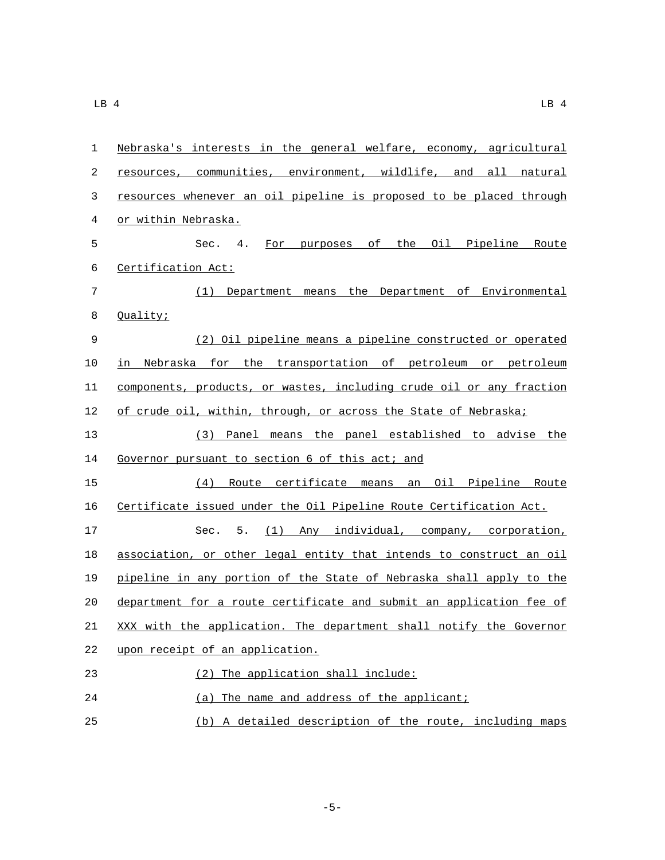| $\mathbf{1}$ | Nebraska's interests in the general welfare, economy, agricultural   |
|--------------|----------------------------------------------------------------------|
| 2            | resources, communities, environment, wildlife, and all natural       |
| 3            | resources whenever an oil pipeline is proposed to be placed through  |
| 4            | or within Nebraska.                                                  |
| 5            | For purposes of the Oil Pipeline Route<br>Sec. 4.                    |
| 6            | Certification Act:                                                   |
| 7            | (1) Department means the Department of Environmental                 |
| 8            | Quality;                                                             |
| $\mathsf 9$  | (2) Oil pipeline means a pipeline constructed or operated            |
| 10           | in Nebraska for the transportation of petroleum or petroleum         |
| 11           | components, products, or wastes, including crude oil or any fraction |
| 12           | of crude oil, within, through, or across the State of Nebraska;      |
| 13           | (3) Panel means the panel established to advise the                  |
| 14           | Governor pursuant to section 6 of this act; and                      |
| 15           | (4) Route certificate means an Oil Pipeline Route                    |
| 16           | Certificate issued under the Oil Pipeline Route Certification Act.   |
| 17           | 5.<br>(1) Any individual, company, corporation,<br>Sec.              |
| 18           | association, or other legal entity that intends to construct an oil  |
| 19           | pipeline in any portion of the State of Nebraska shall apply to the  |
| 20           | department for a route certificate and submit an application fee of  |

21 XXX with the application. The department shall notify the Governor

22 upon receipt of an application.

(2) The application shall include:23 24 (a) The name and address of the applicant; 25 (b) A detailed description of the route, including maps

-5-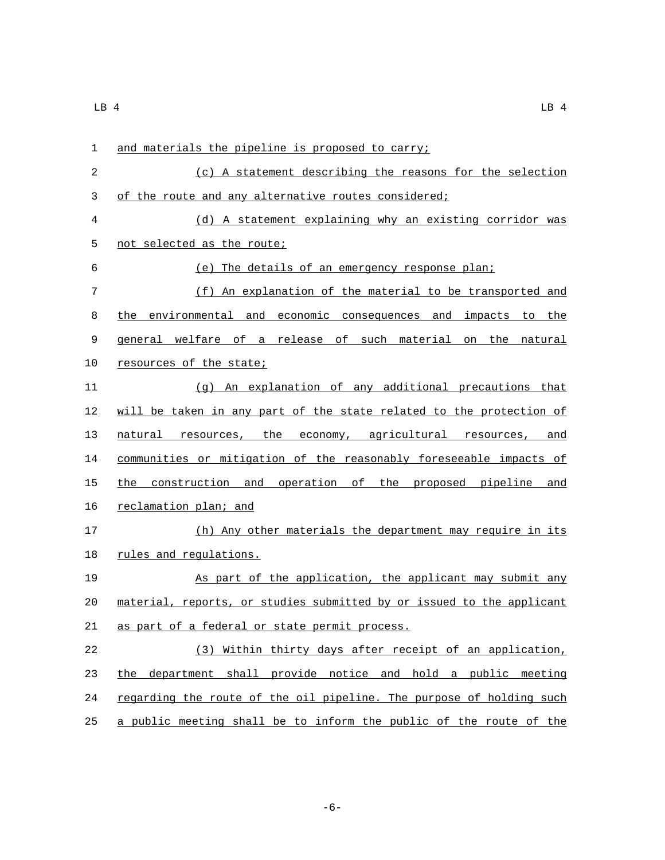| 1  | and materials the pipeline is proposed to carry;                      |
|----|-----------------------------------------------------------------------|
| 2  | (c) A statement describing the reasons for the selection              |
| 3  | of the route and any alternative routes considered;                   |
| 4  | (d) A statement explaining why an existing corridor was               |
| 5  | not selected as the route;                                            |
| 6  | (e) The details of an emergency response plan;                        |
| 7  | (f) An explanation of the material to be transported and              |
| 8  | the environmental and economic consequences and impacts to the        |
| 9  | general welfare of a release of such material on the natural          |
| 10 | resources of the state;                                               |
| 11 | (g) An explanation of any additional precautions that                 |
| 12 | will be taken in any part of the state related to the protection of   |
| 13 | natural resources, the economy, agricultural resources, and           |
| 14 | communities or mitigation of the reasonably foreseeable impacts of    |
| 15 | the construction and operation of the proposed pipeline and           |
| 16 | reclamation plan; and                                                 |
| 17 | (h) Any other materials the department may require in its             |
| 18 | rules and regulations.                                                |
| 19 | As part of the application, the applicant may submit any              |
| 20 | material, reports, or studies submitted by or issued to the applicant |
| 21 | as part of a federal or state permit process.                         |
| 22 | (3) Within thirty days after receipt of an application,               |
| 23 | the department shall provide notice and hold a public meeting         |
| 24 | regarding the route of the oil pipeline. The purpose of holding such  |
| 25 | a public meeting shall be to inform the public of the route of the    |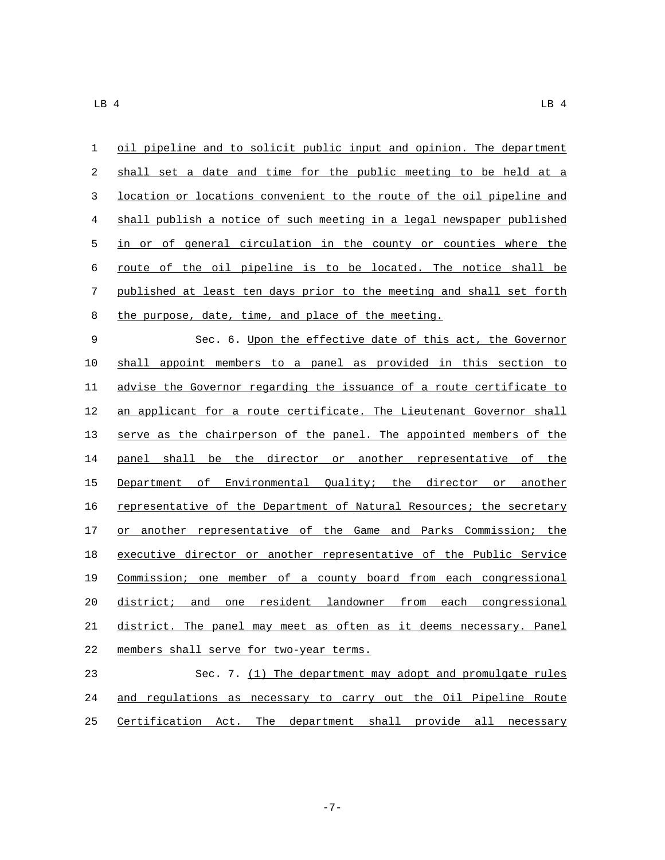| $\mathbf{1}$ | oil pipeline and to solicit public input and opinion. The department  |
|--------------|-----------------------------------------------------------------------|
| 2            | shall set a date and time for the public meeting to be held at a      |
| 3            | location or locations convenient to the route of the oil pipeline and |
| 4            | shall publish a notice of such meeting in a legal newspaper published |
| 5            | in or of general circulation in the county or counties where the      |
| 6            | route of the oil pipeline is to be located. The notice shall be       |
| 7            | published at least ten days prior to the meeting and shall set forth  |
| 8            | the purpose, date, time, and place of the meeting.                    |

 Sec. 6. Upon the effective date of this act, the Governor shall appoint members to a panel as provided in this section to advise the Governor regarding the issuance of a route certificate to 12 an applicant for a route certificate. The Lieutenant Governor shall serve as the chairperson of the panel. The appointed members of the 14 panel shall be the director or another representative of the Department of Environmental Quality; the director or another representative of the Department of Natural Resources; the secretary 17 or another representative of the Game and Parks Commission; the executive director or another representative of the Public Service Commission; one member of a county board from each congressional 20 district; and one resident landowner from each congressional district. The panel may meet as often as it deems necessary. Panel 22 members shall serve for two-year terms.

 Sec. 7. (1) The department may adopt and promulgate rules and regulations as necessary to carry out the Oil Pipeline Route Certification Act. The department shall provide all necessary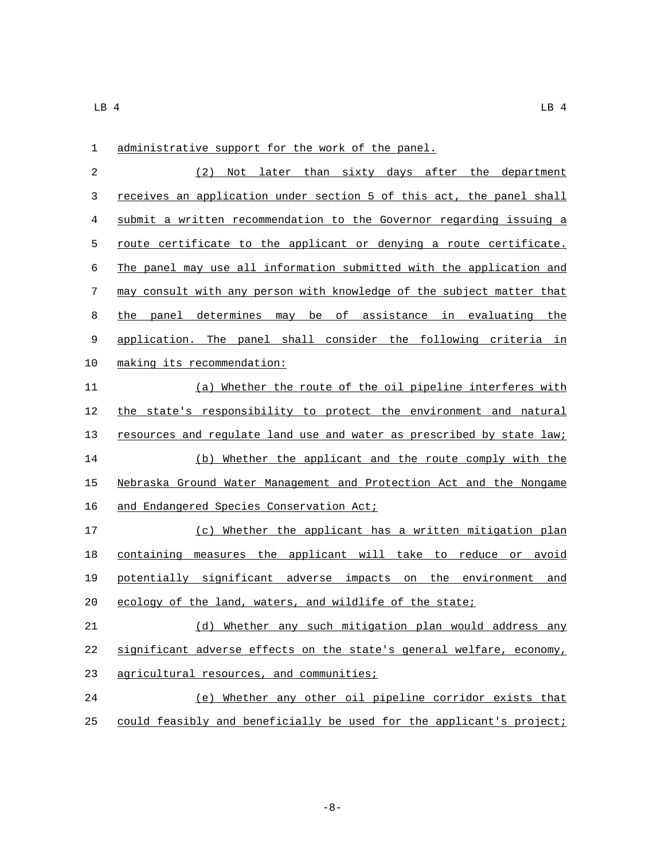| 1            | administrative support for the work of the panel.                     |
|--------------|-----------------------------------------------------------------------|
| $\mathbf{2}$ | (2) Not later than sixty days after the department                    |
| 3            | receives an application under section 5 of this act, the panel shall  |
| 4            | submit a written recommendation to the Governor regarding issuing a   |
| 5            | route certificate to the applicant or denying a route certificate.    |
| 6            | The panel may use all information submitted with the application and  |
| 7            | may consult with any person with knowledge of the subject matter that |
| 8            | the panel determines may be of assistance in evaluating the           |
| 9            | application. The panel shall consider the following criteria in       |
| 10           | making its recommendation:                                            |
| 11           | (a) Whether the route of the oil pipeline interferes with             |
| 12           | the state's responsibility to protect the environment and natural     |
| 13           | resources and regulate land use and water as prescribed by state law; |
| 14           | (b) Whether the applicant and the route comply with the               |
| 15           | Nebraska Ground Water Management and Protection Act and the Nongame   |
| 16           | and Endangered Species Conservation Act;                              |
| 17           | (c) Whether the applicant has a written mitigation plan               |
| 18           | containing measures the applicant will take to reduce or avoid        |
| 19           | potentially significant adverse impacts on the environment and        |
| 20           | ecology of the land, waters, and wildlife of the state;               |
| 21           | (d) Whether any such mitigation plan would address any                |
| 22           | significant adverse effects on the state's general welfare, economy,  |
| 23           | agricultural resources, and communities;                              |
| 24           | (e) Whether any other oil pipeline corridor exists that               |
| 25           | could feasibly and beneficially be used for the applicant's project;  |

 $\Box$ B 4 LB 4 LB 4

-8-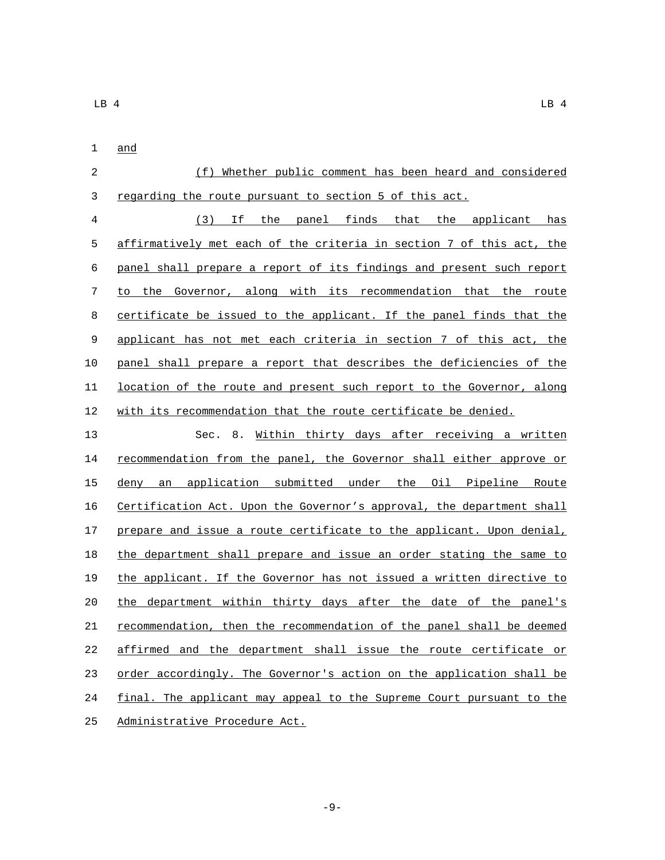and

| 2           | (f) Whether public comment has been heard and considered              |
|-------------|-----------------------------------------------------------------------|
| 3           | regarding the route pursuant to section 5 of this act.                |
| 4           | panel finds that the applicant<br>(3)<br>Ιf<br>the<br>has             |
| 5           | affirmatively met each of the criteria in section 7 of this act, the  |
| 6           | panel shall prepare a report of its findings and present such report  |
| 7           | the Governor, along with its recommendation that the route<br>to      |
| 8           | certificate be issued to the applicant. If the panel finds that the   |
| $\mathsf 9$ | applicant has not met each criteria in section 7 of this act, the     |
| 10          | panel shall prepare a report that describes the deficiencies of the   |
| 11          | location of the route and present such report to the Governor, along  |
| 12          | with its recommendation that the route certificate be denied.         |
| 13          | Sec. 8. Within thirty days after receiving a written                  |
| 14          | recommendation from the panel, the Governor shall either approve or   |
| 15          | an application submitted under the Oil Pipeline Route<br>deny         |
| 16          | Certification Act. Upon the Governor's approval, the department shall |
| 17          | prepare and issue a route certificate to the applicant. Upon denial,  |
| 18          | the department shall prepare and issue an order stating the same to   |
| 19          | the applicant. If the Governor has not issued a written directive to  |

 the department within thirty days after the date of the panel's recommendation, then the recommendation of the panel shall be deemed 22 affirmed and the department shall issue the route certificate or 23 order accordingly. The Governor's action on the application shall be final. The applicant may appeal to the Supreme Court pursuant to the

25 Administrative Procedure Act.

-9-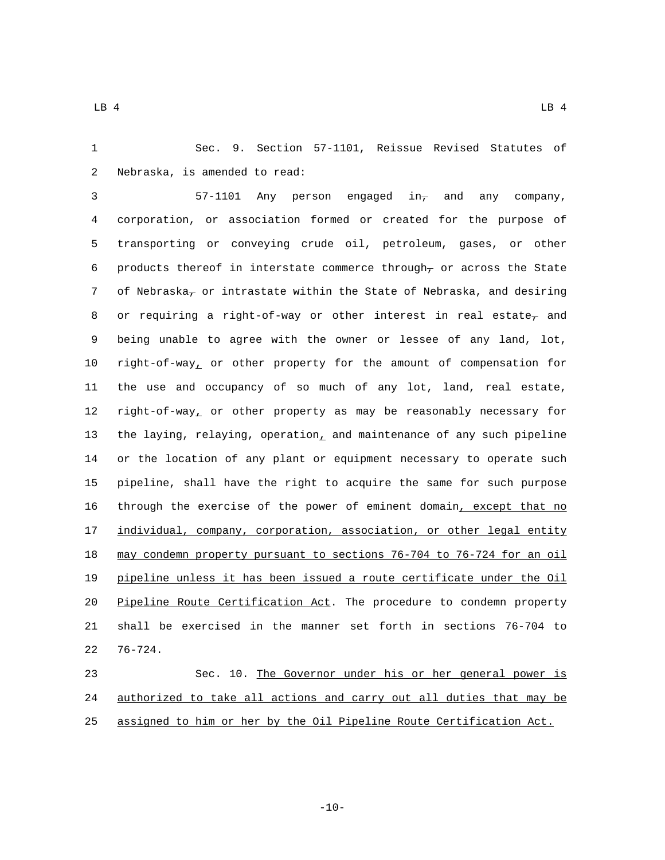Sec. 9. Section 57-1101, Reissue Revised Statutes of 2 Nebraska, is amended to read:

3 57-1101 Any person engaged  $in_{\tau}$  and any company, corporation, or association formed or created for the purpose of transporting or conveying crude oil, petroleum, gases, or other 6 products thereof in interstate commerce through<sub>7</sub> or across the State 7 of Nebraska<sub>7</sub> or intrastate within the State of Nebraska, and desiring 8 or requiring a right-of-way or other interest in real estate<sub>7</sub> and being unable to agree with the owner or lessee of any land, lot, right-of-way, or other property for the amount of compensation for the use and occupancy of so much of any lot, land, real estate, 12 right-of-way, or other property as may be reasonably necessary for 13 the laying, relaying, operation, and maintenance of any such pipeline or the location of any plant or equipment necessary to operate such pipeline, shall have the right to acquire the same for such purpose through the exercise of the power of eminent domain, except that no 17 individual, company, corporation, association, or other legal entity may condemn property pursuant to sections 76-704 to 76-724 for an oil pipeline unless it has been issued a route certificate under the Oil Pipeline Route Certification Act. The procedure to condemn property shall be exercised in the manner set forth in sections 76-704 to  $76-724$ .

 Sec. 10. The Governor under his or her general power is authorized to take all actions and carry out all duties that may be assigned to him or her by the Oil Pipeline Route Certification Act.

-10-